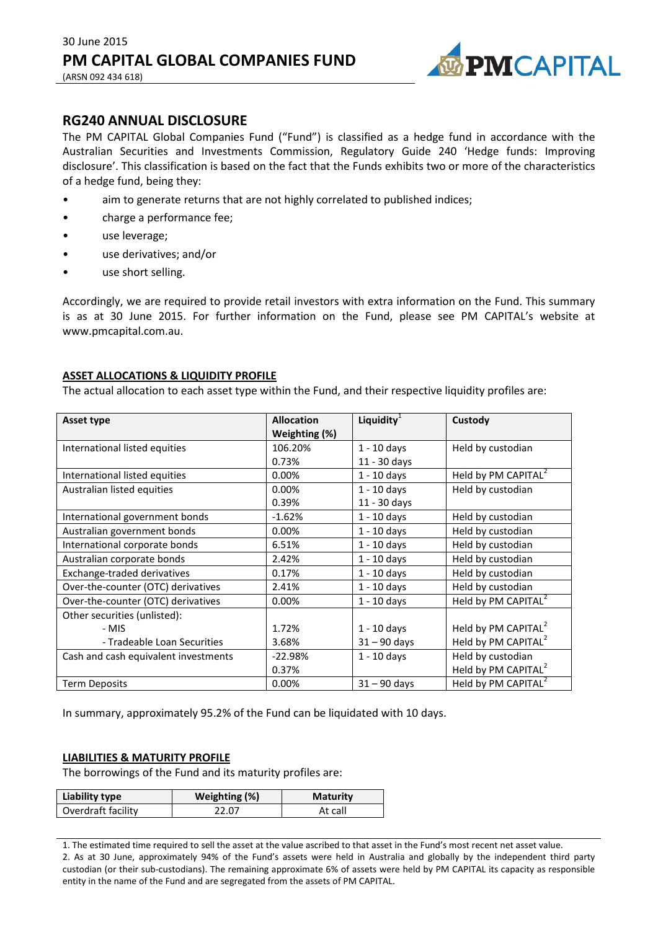

# **RG240 ANNUAL DISCLOSURE**

The PM CAPITAL Global Companies Fund ("Fund") is classified as a hedge fund in accordance with the Australian Securities and Investments Commission, Regulatory Guide 240 'Hedge funds: Improving disclosure'. This classification is based on the fact that the Funds exhibits two or more of the characteristics of a hedge fund, being they:

- aim to generate returns that are not highly correlated to published indices;
- charge a performance fee;
- use leverage;
- use derivatives; and/or
- use short selling.

Accordingly, we are required to provide retail investors with extra information on the Fund. This summary is as at 30 June 2015. For further information on the Fund, please see PM CAPITAL's website at www.pmcapital.com.au.

## **ASSET ALLOCATIONS & LIQUIDITY PROFILE**

The actual allocation to each asset type within the Fund, and their respective liquidity profiles are:

| Asset type                           | <b>Allocation</b> | Liquidity $1$  | Custody                         |
|--------------------------------------|-------------------|----------------|---------------------------------|
|                                      | Weighting (%)     |                |                                 |
| International listed equities        | 106.20%           | $1 - 10$ days  | Held by custodian               |
|                                      | 0.73%             | 11 - 30 days   |                                 |
| International listed equities        | 0.00%             | $1 - 10$ days  | Held by PM CAPITAL <sup>2</sup> |
| Australian listed equities           | 0.00%             | $1 - 10$ days  | Held by custodian               |
|                                      | 0.39%             | 11 - 30 days   |                                 |
| International government bonds       | $-1.62%$          | $1 - 10$ days  | Held by custodian               |
| Australian government bonds          | 0.00%             | $1 - 10$ days  | Held by custodian               |
| International corporate bonds        | 6.51%             | $1 - 10$ days  | Held by custodian               |
| Australian corporate bonds           | 2.42%             | $1 - 10$ days  | Held by custodian               |
| Exchange-traded derivatives          | 0.17%             | $1 - 10$ days  | Held by custodian               |
| Over-the-counter (OTC) derivatives   | 2.41%             | $1 - 10$ days  | Held by custodian               |
| Over-the-counter (OTC) derivatives   | 0.00%             | $1 - 10$ days  | Held by PM CAPITAL <sup>2</sup> |
| Other securities (unlisted):         |                   |                |                                 |
| - MIS                                | 1.72%             | $1 - 10$ days  | Held by PM CAPITAL <sup>2</sup> |
| - Tradeable Loan Securities          | 3.68%             | $31 - 90$ days | Held by PM CAPITAL <sup>2</sup> |
| Cash and cash equivalent investments | $-22.98%$         | $1 - 10$ days  | Held by custodian               |
|                                      | 0.37%             |                | Held by PM CAPITAL <sup>2</sup> |
| <b>Term Deposits</b>                 | 0.00%             | $31 - 90$ days | Held by PM CAPITAL <sup>2</sup> |

In summary, approximately 95.2% of the Fund can be liquidated with 10 days.

## **LIABILITIES & MATURITY PROFILE**

The borrowings of the Fund and its maturity profiles are:

| Liability type     | Weighting (%) | <b>Maturity</b> |
|--------------------|---------------|-----------------|
| Overdraft facility | 22.07         | At call         |

1. The estimated time required to sell the asset at the value ascribed to that asset in the Fund's most recent net asset value. 2. As at 30 June, approximately 94% of the Fund's assets were held in Australia and globally by the independent third party custodian (or their sub-custodians). The remaining approximate 6% of assets were held by PM CAPITAL its capacity as responsible entity in the name of the Fund and are segregated from the assets of PM CAPITAL.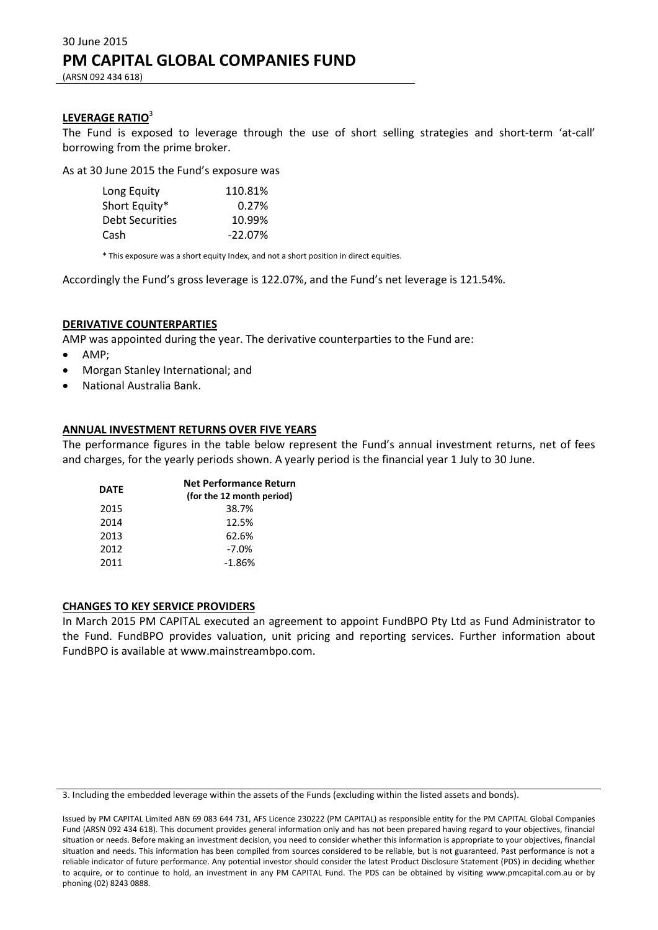#### **LEVERAGE RATIO**<sup>3</sup>

The Fund is exposed to leverage through the use of short selling strategies and short-term 'at-call' borrowing from the prime broker.

As at 30 June 2015 the Fund's exposure was

| Long Equity            | 110.81%   |
|------------------------|-----------|
| Short Equity*          | 0.27%     |
| <b>Debt Securities</b> | 10.99%    |
| Cash                   | $-22.07%$ |

\* This exposure was a short equity Index, and not a short position in direct equities.

Accordingly the Fund's gross leverage is 122.07%, and the Fund's net leverage is 121.54%.

## **DERIVATIVE COUNTERPARTIES**

AMP was appointed during the year. The derivative counterparties to the Fund are:

- AMP;
- Morgan Stanley International; and
- National Australia Bank.

#### **ANNUAL INVESTMENT RETURNS OVER FIVE YEARS**

The performance figures in the table below represent the Fund's annual investment returns, net of fees and charges, for the yearly periods shown. A yearly period is the financial year 1 July to 30 June.

| <b>DATE</b> | <b>Net Performance Return</b><br>(for the 12 month period) |  |  |
|-------------|------------------------------------------------------------|--|--|
| 2015        | 38.7%                                                      |  |  |
| 2014        | 12.5%                                                      |  |  |
| 2013        | 62.6%                                                      |  |  |
| 2012        | $-7.0%$                                                    |  |  |
| 2011        | $-1.86%$                                                   |  |  |

#### **CHANGES TO KEY SERVICE PROVIDERS**

<sup>3.</sup> Including the embedded leverage within the assets of the Funds (excluding within the listed assets and bonds).

Issued by PM CAPITAL Limited ABN 69 083 644 731, AFS Licence 230222 (PM CAPITAL) as responsible entity for the PM CAPITAL Global Companies Fund (ARSN 092 434 618). This document provides general information only and has not been prepared having regard to your objectives, financial situation or needs. Before making an investment decision, you need to consider whether this information is appropriate to your objectives, financial situation and needs. This information has been compiled from sources considered to be reliable, but is not guaranteed. Past performance is not a reliable indicator of future performance. Any potential investor should consider the latest Product Disclosure Statement (PDS) in deciding whether to acquire, or to continue to hold, an investment in any PM CAPITAL Fund. The PDS can be obtained by visiting www.pmcapital.com.au or by phoning (02) 8243 0888.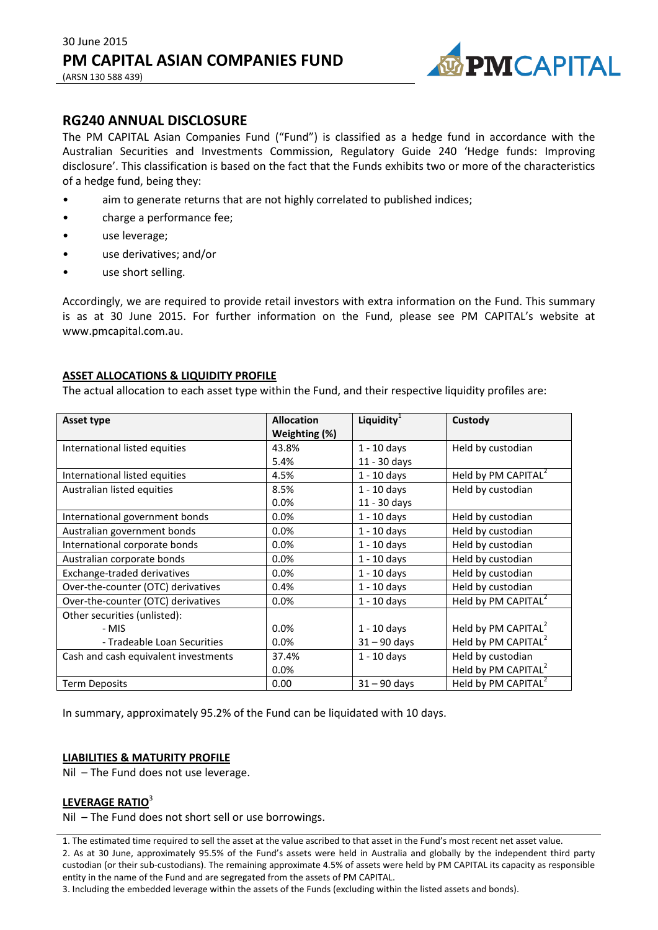

**RG240 ANNUAL DISCLOSURE**

The PM CAPITAL Asian Companies Fund ("Fund") is classified as a hedge fund in accordance with the Australian Securities and Investments Commission, Regulatory Guide 240 'Hedge funds: Improving disclosure'. This classification is based on the fact that the Funds exhibits two or more of the characteristics of a hedge fund, being they:

- aim to generate returns that are not highly correlated to published indices;
- charge a performance fee;
- use leverage;
- use derivatives; and/or
- use short selling.

Accordingly, we are required to provide retail investors with extra information on the Fund. This summary is as at 30 June 2015. For further information on the Fund, please see PM CAPITAL's website at www.pmcapital.com.au.

## **ASSET ALLOCATIONS & LIQUIDITY PROFILE**

The actual allocation to each asset type within the Fund, and their respective liquidity profiles are:

| Asset type                           | <b>Allocation</b><br>Weighting (%) | Liquidity $1$  | Custody                         |
|--------------------------------------|------------------------------------|----------------|---------------------------------|
| International listed equities        | 43.8%                              | $1 - 10$ days  | Held by custodian               |
|                                      | 5.4%                               | 11 - 30 days   |                                 |
| International listed equities        | 4.5%                               | $1 - 10$ days  | Held by PM CAPITAL <sup>2</sup> |
| Australian listed equities           | 8.5%                               | $1 - 10$ days  | Held by custodian               |
|                                      | 0.0%                               | 11 - 30 days   |                                 |
| International government bonds       | 0.0%                               | $1 - 10$ days  | Held by custodian               |
| Australian government bonds          | 0.0%                               | $1 - 10$ days  | Held by custodian               |
| International corporate bonds        | 0.0%                               | $1 - 10$ days  | Held by custodian               |
| Australian corporate bonds           | 0.0%                               | $1 - 10$ days  | Held by custodian               |
| Exchange-traded derivatives          | 0.0%                               | $1 - 10$ days  | Held by custodian               |
| Over-the-counter (OTC) derivatives   | 0.4%                               | $1 - 10$ days  | Held by custodian               |
| Over-the-counter (OTC) derivatives   | 0.0%                               | $1 - 10$ days  | Held by PM CAPITAL <sup>2</sup> |
| Other securities (unlisted):         |                                    |                |                                 |
| - MIS                                | 0.0%                               | $1 - 10$ days  | Held by PM CAPITAL <sup>2</sup> |
| - Tradeable Loan Securities          | 0.0%                               | $31 - 90$ days | Held by PM CAPITAL <sup>2</sup> |
| Cash and cash equivalent investments | 37.4%                              | $1 - 10$ days  | Held by custodian               |
|                                      | 0.0%                               |                | Held by PM CAPITAL <sup>2</sup> |
| <b>Term Deposits</b>                 | 0.00                               | $31 - 90$ days | Held by PM CAPITAL <sup>2</sup> |

In summary, approximately 95.2% of the Fund can be liquidated with 10 days.

## **LIABILITIES & MATURITY PROFILE**

Nil – The Fund does not use leverage.

## **LEVERAGE RATIO**<sup>3</sup>

Nil – The Fund does not short sell or use borrowings.

1. The estimated time required to sell the asset at the value ascribed to that asset in the Fund's most recent net asset value. 2. As at 30 June, approximately 95.5% of the Fund's assets were held in Australia and globally by the independent third party custodian (or their sub-custodians). The remaining approximate 4.5% of assets were held by PM CAPITAL its capacity as responsible entity in the name of the Fund and are segregated from the assets of PM CAPITAL.

3. Including the embedded leverage within the assets of the Funds (excluding within the listed assets and bonds).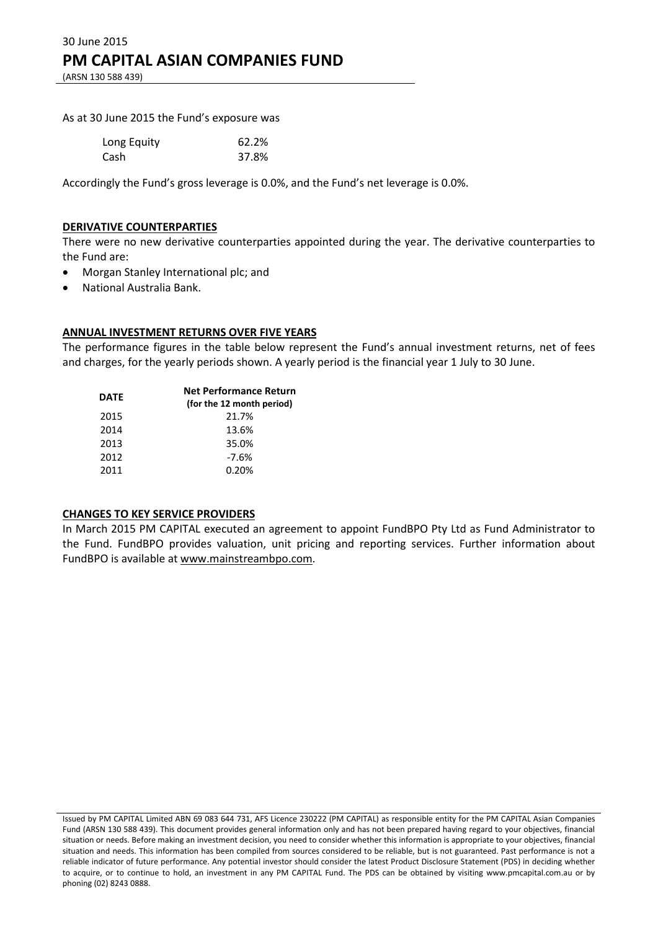As at 30 June 2015 the Fund's exposure was

| Long Equity | 62.2% |
|-------------|-------|
| Cash        | 37.8% |

Accordingly the Fund's gross leverage is 0.0%, and the Fund's net leverage is 0.0%.

#### **DERIVATIVE COUNTERPARTIES**

There were no new derivative counterparties appointed during the year. The derivative counterparties to the Fund are:

- Morgan Stanley International plc; and
- National Australia Bank.

## **ANNUAL INVESTMENT RETURNS OVER FIVE YEARS**

The performance figures in the table below represent the Fund's annual investment returns, net of fees and charges, for the yearly periods shown. A yearly period is the financial year 1 July to 30 June.

| DATE | <b>Net Performance Return</b><br>(for the 12 month period) |
|------|------------------------------------------------------------|
| 2015 | 21.7%                                                      |
| 2014 | 13.6%                                                      |
| 2013 | 35.0%                                                      |
| 2012 | $-7.6%$                                                    |
| 2011 | 0.20%                                                      |

#### **CHANGES TO KEY SERVICE PROVIDERS**

Issued by PM CAPITAL Limited ABN 69 083 644 731, AFS Licence 230222 (PM CAPITAL) as responsible entity for the PM CAPITAL Asian Companies Fund (ARSN 130 588 439). This document provides general information only and has not been prepared having regard to your objectives, financial situation or needs. Before making an investment decision, you need to consider whether this information is appropriate to your objectives, financial situation and needs. This information has been compiled from sources considered to be reliable, but is not guaranteed. Past performance is not a reliable indicator of future performance. Any potential investor should consider the latest Product Disclosure Statement (PDS) in deciding whether to acquire, or to continue to hold, an investment in any PM CAPITAL Fund. The PDS can be obtained by visiting www.pmcapital.com.au or by phoning (02) 8243 0888.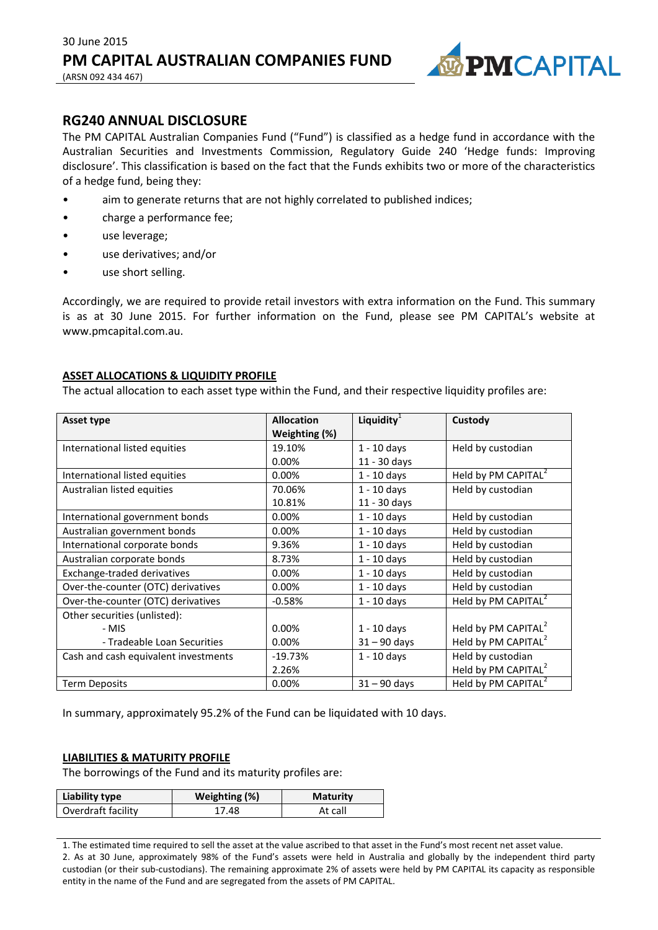

(ARSN 092 434 467)

# **RG240 ANNUAL DISCLOSURE**

The PM CAPITAL Australian Companies Fund ("Fund") is classified as a hedge fund in accordance with the Australian Securities and Investments Commission, Regulatory Guide 240 'Hedge funds: Improving disclosure'. This classification is based on the fact that the Funds exhibits two or more of the characteristics of a hedge fund, being they:

- aim to generate returns that are not highly correlated to published indices;
- charge a performance fee;
- use leverage;
- use derivatives; and/or
- use short selling.

Accordingly, we are required to provide retail investors with extra information on the Fund. This summary is as at 30 June 2015. For further information on the Fund, please see PM CAPITAL's website at www.pmcapital.com.au.

## **ASSET ALLOCATIONS & LIQUIDITY PROFILE**

The actual allocation to each asset type within the Fund, and their respective liquidity profiles are:

| <b>Asset type</b>                    | <b>Allocation</b><br>Weighting (%) | Liquidity $1$  | Custody                         |
|--------------------------------------|------------------------------------|----------------|---------------------------------|
| International listed equities        | 19.10%                             | $1 - 10$ days  | Held by custodian               |
|                                      | 0.00%                              | 11 - 30 days   |                                 |
| International listed equities        | 0.00%                              | $1 - 10$ days  | Held by PM CAPITAL <sup>2</sup> |
| Australian listed equities           | 70.06%                             | $1 - 10$ days  | Held by custodian               |
|                                      | 10.81%                             | 11 - 30 days   |                                 |
| International government bonds       | 0.00%                              | $1 - 10$ days  | Held by custodian               |
| Australian government bonds          | 0.00%                              | $1 - 10$ days  | Held by custodian               |
| International corporate bonds        | 9.36%                              | $1 - 10$ days  | Held by custodian               |
| Australian corporate bonds           | 8.73%                              | $1 - 10$ days  | Held by custodian               |
| Exchange-traded derivatives          | 0.00%                              | $1 - 10$ days  | Held by custodian               |
| Over-the-counter (OTC) derivatives   | 0.00%                              | $1 - 10$ days  | Held by custodian               |
| Over-the-counter (OTC) derivatives   | $-0.58%$                           | $1 - 10$ days  | Held by PM CAPITAL <sup>2</sup> |
| Other securities (unlisted):         |                                    |                |                                 |
| - MIS                                | 0.00%                              | $1 - 10$ days  | Held by PM CAPITAL <sup>2</sup> |
| - Tradeable Loan Securities          | 0.00%                              | $31 - 90$ days | Held by PM CAPITAL <sup>2</sup> |
| Cash and cash equivalent investments | $-19.73%$                          | $1 - 10$ days  | Held by custodian               |
|                                      | 2.26%                              |                | Held by PM CAPITAL <sup>2</sup> |
| <b>Term Deposits</b>                 | 0.00%                              | $31 - 90$ days | Held by PM CAPITAL <sup>2</sup> |

In summary, approximately 95.2% of the Fund can be liquidated with 10 days.

## **LIABILITIES & MATURITY PROFILE**

The borrowings of the Fund and its maturity profiles are:

| Liability type     | Weighting (%) | <b>Maturity</b> |
|--------------------|---------------|-----------------|
| Overdraft facility | 17.48         | At call         |

1. The estimated time required to sell the asset at the value ascribed to that asset in the Fund's most recent net asset value. 2. As at 30 June, approximately 98% of the Fund's assets were held in Australia and globally by the independent third party custodian (or their sub-custodians). The remaining approximate 2% of assets were held by PM CAPITAL its capacity as responsible entity in the name of the Fund and are segregated from the assets of PM CAPITAL.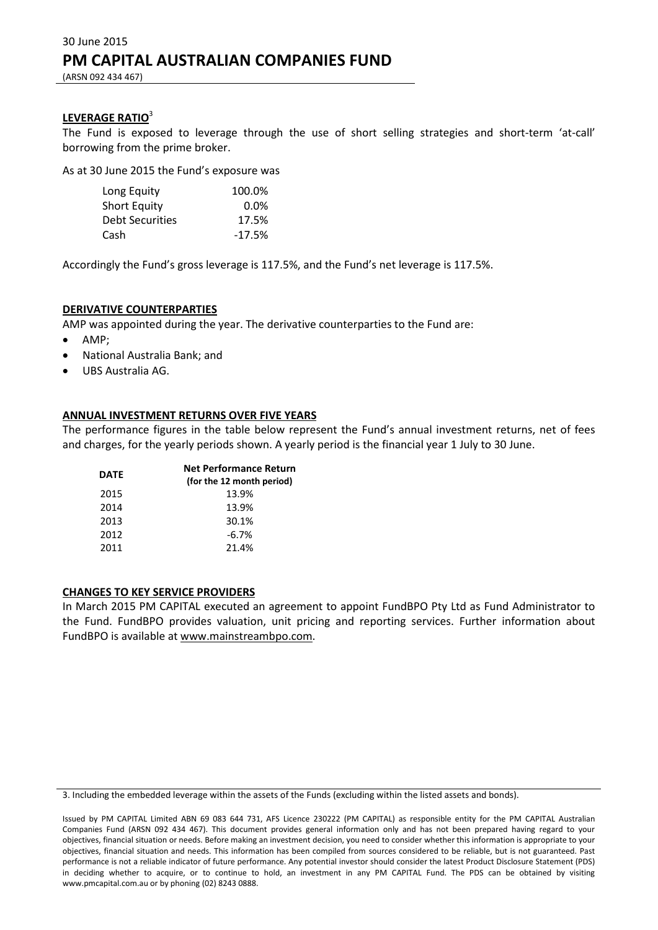#### **LEVERAGE RATIO**<sup>3</sup>

The Fund is exposed to leverage through the use of short selling strategies and short-term 'at-call' borrowing from the prime broker.

As at 30 June 2015 the Fund's exposure was

| Long Equity            | 100.0%   |
|------------------------|----------|
| Short Equity           | $0.0\%$  |
| <b>Debt Securities</b> | 17.5%    |
| Cash                   | $-17.5%$ |

Accordingly the Fund's gross leverage is 117.5%, and the Fund's net leverage is 117.5%.

#### **DERIVATIVE COUNTERPARTIES**

AMP was appointed during the year. The derivative counterparties to the Fund are:

- AMP;
- National Australia Bank; and
- UBS Australia AG.

#### **ANNUAL INVESTMENT RETURNS OVER FIVE YEARS**

The performance figures in the table below represent the Fund's annual investment returns, net of fees and charges, for the yearly periods shown. A yearly period is the financial year 1 July to 30 June.

| <b>DATE</b> | <b>Net Performance Return</b><br>(for the 12 month period) |
|-------------|------------------------------------------------------------|
| 2015        | 13.9%                                                      |
| 2014        | 13.9%                                                      |
| 2013        | 30.1%                                                      |
| 2012        | $-6.7%$                                                    |
| 2011        | 21.4%                                                      |

#### **CHANGES TO KEY SERVICE PROVIDERS**

<sup>3.</sup> Including the embedded leverage within the assets of the Funds (excluding within the listed assets and bonds).

Issued by PM CAPITAL Limited ABN 69 083 644 731, AFS Licence 230222 (PM CAPITAL) as responsible entity for the PM CAPITAL Australian Companies Fund (ARSN 092 434 467). This document provides general information only and has not been prepared having regard to your objectives, financial situation or needs. Before making an investment decision, you need to consider whether this information is appropriate to your objectives, financial situation and needs. This information has been compiled from sources considered to be reliable, but is not guaranteed. Past performance is not a reliable indicator of future performance. Any potential investor should consider the latest Product Disclosure Statement (PDS) in deciding whether to acquire, or to continue to hold, an investment in any PM CAPITAL Fund. The PDS can be obtained by visiting www.pmcapital.com.au or by phoning (02) 8243 0888.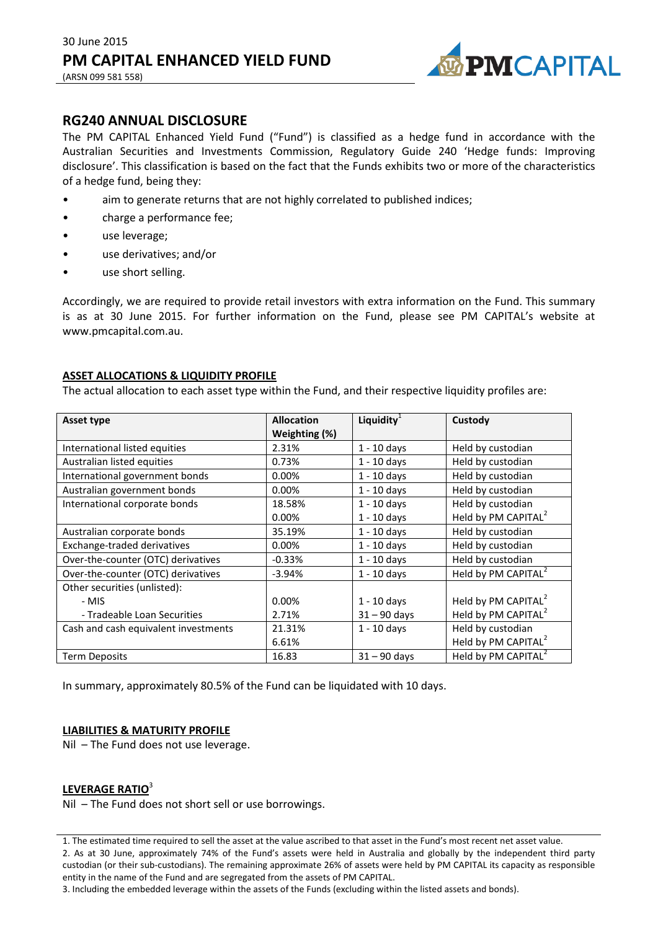

**RG240 ANNUAL DISCLOSURE**

The PM CAPITAL Enhanced Yield Fund ("Fund") is classified as a hedge fund in accordance with the Australian Securities and Investments Commission, Regulatory Guide 240 'Hedge funds: Improving disclosure'. This classification is based on the fact that the Funds exhibits two or more of the characteristics of a hedge fund, being they:

- aim to generate returns that are not highly correlated to published indices;
- charge a performance fee;
- use leverage;
- use derivatives; and/or
- use short selling.

Accordingly, we are required to provide retail investors with extra information on the Fund. This summary is as at 30 June 2015. For further information on the Fund, please see PM CAPITAL's website at www.pmcapital.com.au.

## **ASSET ALLOCATIONS & LIQUIDITY PROFILE**

The actual allocation to each asset type within the Fund, and their respective liquidity profiles are:

| Asset type                           | <b>Allocation</b> | Liquidity $1$  | Custody                         |
|--------------------------------------|-------------------|----------------|---------------------------------|
|                                      | Weighting (%)     |                |                                 |
| International listed equities        | 2.31%             | $1 - 10$ days  | Held by custodian               |
| Australian listed equities           | 0.73%             | $1 - 10$ days  | Held by custodian               |
| International government bonds       | 0.00%             | $1 - 10$ days  | Held by custodian               |
| Australian government bonds          | 0.00%             | $1 - 10$ days  | Held by custodian               |
| International corporate bonds        | 18.58%            | $1 - 10$ days  | Held by custodian               |
|                                      | 0.00%             | $1 - 10$ days  | Held by PM CAPITAL <sup>2</sup> |
| Australian corporate bonds           | 35.19%            | $1 - 10$ days  | Held by custodian               |
| Exchange-traded derivatives          | 0.00%             | $1 - 10$ days  | Held by custodian               |
| Over-the-counter (OTC) derivatives   | $-0.33%$          | $1 - 10$ days  | Held by custodian               |
| Over-the-counter (OTC) derivatives   | $-3.94%$          | $1 - 10$ days  | Held by PM CAPITAL <sup>2</sup> |
| Other securities (unlisted):         |                   |                |                                 |
| - MIS                                | 0.00%             | $1 - 10$ days  | Held by PM CAPITAL <sup>2</sup> |
| - Tradeable Loan Securities          | 2.71%             | $31 - 90$ days | Held by PM CAPITAL <sup>2</sup> |
| Cash and cash equivalent investments | 21.31%            | $1 - 10$ days  | Held by custodian               |
|                                      | 6.61%             |                | Held by PM CAPITAL <sup>2</sup> |
| <b>Term Deposits</b>                 | 16.83             | $31 - 90$ days | Held by PM CAPITAL              |

In summary, approximately 80.5% of the Fund can be liquidated with 10 days.

## **LIABILITIES & MATURITY PROFILE**

Nil – The Fund does not use leverage.

## **LEVERAGE RATIO**<sup>3</sup>

Nil – The Fund does not short sell or use borrowings.

1. The estimated time required to sell the asset at the value ascribed to that asset in the Fund's most recent net asset value. 2. As at 30 June, approximately 74% of the Fund's assets were held in Australia and globally by the independent third party custodian (or their sub-custodians). The remaining approximate 26% of assets were held by PM CAPITAL its capacity as responsible entity in the name of the Fund and are segregated from the assets of PM CAPITAL.

3. Including the embedded leverage within the assets of the Funds (excluding within the listed assets and bonds).